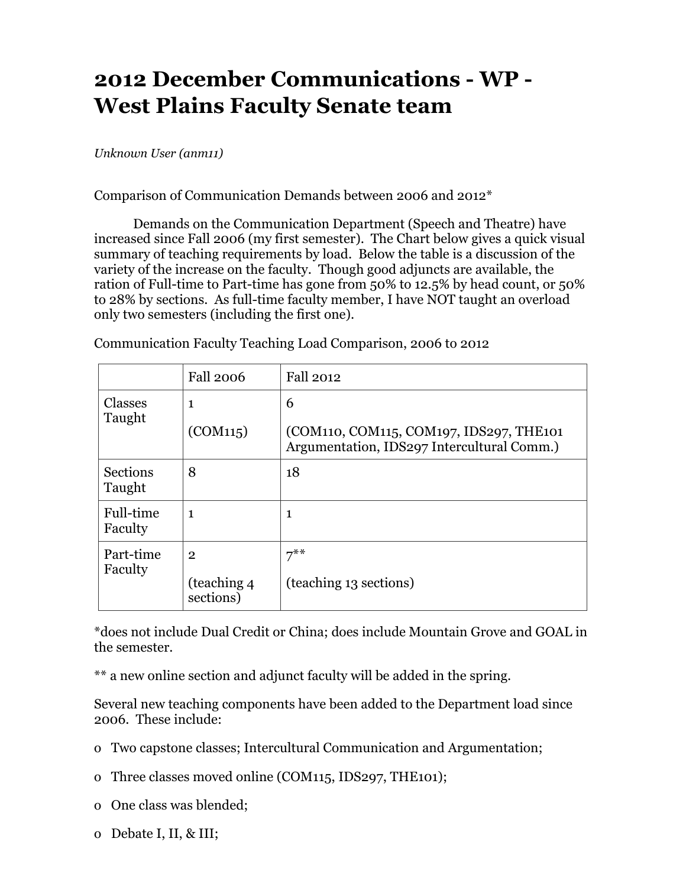## **2012 December Communications - WP - West Plains Faculty Senate team**

*Unknown User (anm11)*

Comparison of Communication Demands between 2006 and 2012\*

Demands on the Communication Department (Speech and Theatre) have increased since Fall 2006 (my first semester). The Chart below gives a quick visual summary of teaching requirements by load. Below the table is a discussion of the variety of the increase on the faculty. Though good adjuncts are available, the ration of Full-time to Part-time has gone from 50% to 12.5% by head count, or 50% to 28% by sections. As full-time faculty member, I have NOT taught an overload only two semesters (including the first one).

|                           | <b>Fall 2006</b>                            | Fall 2012                                                                                  |
|---------------------------|---------------------------------------------|--------------------------------------------------------------------------------------------|
| Classes<br>Taught         | 1<br>(COM115)                               | 6<br>(COM110, COM115, COM197, IDS297, THE101<br>Argumentation, IDS297 Intercultural Comm.) |
| <b>Sections</b><br>Taught | 8                                           | 18                                                                                         |
| Full-time<br>Faculty      | 1                                           | 1                                                                                          |
| Part-time<br>Faculty      | $\overline{2}$<br>(teaching 4)<br>sections) | $7^{***}$<br>(teaching 13 sections)                                                        |

Communication Faculty Teaching Load Comparison, 2006 to 2012

\*does not include Dual Credit or China; does include Mountain Grove and GOAL in the semester.

\*\* a new online section and adjunct faculty will be added in the spring.

Several new teaching components have been added to the Department load since 2006. These include:

- o Two capstone classes; Intercultural Communication and Argumentation;
- o Three classes moved online (COM115, IDS297, THE101);
- o One class was blended;
- o Debate I, II, & III;